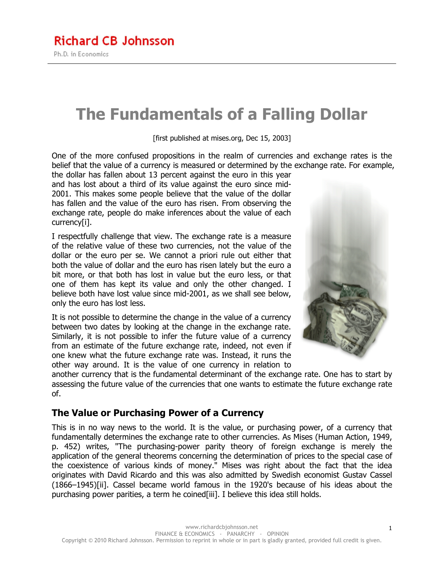# **The Fundamentals of a Falling Dollar**

[first published at mises.org, Dec 15, 2003]

One of the more confused propositions in the realm of currencies and exchange rates is the belief that the value of a currency is measured or determined by the exchange rate. For example,

the dollar has fallen about 13 percent against the euro in this year and has lost about a third of its value against the euro since mid-2001. This makes some people believe that the value of the dollar has fallen and the value of the euro has risen. From observing the exchange rate, people do make inferences about the value of each currency[i].

I respectfully challenge that view. The exchange rate is a measure of the relative value of these two currencies, not the value of the dollar or the euro per se. We cannot a priori rule out either that both the value of dollar and the euro has risen lately but the euro a bit more, or that both has lost in value but the euro less, or that one of them has kept its value and only the other changed. I believe both have lost value since mid-2001, as we shall see below, only the euro has lost less.

It is not possible to determine the change in the value of a currency between two dates by looking at the change in the exchange rate. Similarly, it is not possible to infer the future value of a currency from an estimate of the future exchange rate, indeed, not even if one knew what the future exchange rate was. Instead, it runs the other way around. It is the value of one currency in relation to



another currency that is the fundamental determinant of the exchange rate. One has to start by assessing the future value of the currencies that one wants to estimate the future exchange rate of.

#### **The Value or Purchasing Power of a Currency**

This is in no way news to the world. It is the value, or purchasing power, of a currency that fundamentally determines the exchange rate to other currencies. As Mises (Human Action, 1949, p. 452) writes, "The purchasing-power parity theory of foreign exchange is merely the application of the general theorems concerning the determination of prices to the special case of the coexistence of various kinds of money." Mises was right about the fact that the idea originates with David Ricardo and this was also admitted by Swedish economist Gustav Cassel (1866–1945)[ii]. Cassel became world famous in the 1920's because of his ideas about the purchasing power parities, a term he coined[iii]. I believe this idea still holds.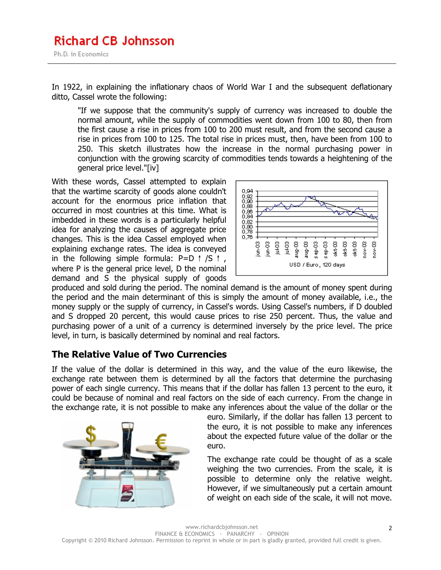### **Richard CB Johnsson** Ph.D. in Economics

In 1922, in explaining the inflationary chaos of World War I and the subsequent deflationary ditto, Cassel wrote the following:

"If we suppose that the community's supply of currency was increased to double the normal amount, while the supply of commodities went down from 100 to 80, then from the first cause a rise in prices from 100 to 200 must result, and from the second cause a rise in prices from 100 to 125. The total rise in prices must, then, have been from 100 to 250. This sketch illustrates how the increase in the normal purchasing power in conjunction with the growing scarcity of commodities tends towards a heightening of the general price level."[iv]

With these words, Cassel attempted to explain that the wartime scarcity of goods alone couldn't account for the enormous price inflation that occurred in most countries at this time. What is imbedded in these words is a particularly helpful idea for analyzing the causes of aggregate price changes. This is the idea Cassel employed when explaining exchange rates. The idea is conveyed in the following simple formula:  $P = D \uparrow /S \uparrow$ , where P is the general price level, D the nominal demand and S the physical supply of goods



produced and sold during the period. The nominal demand is the amount of money spent during the period and the main determinant of this is simply the amount of money available, i.e., the money supply or the supply of currency, in Cassel's words. Using Cassel's numbers, if D doubled and S dropped 20 percent, this would cause prices to rise 250 percent. Thus, the value and purchasing power of a unit of a currency is determined inversely by the price level. The price level, in turn, is basically determined by nominal and real factors.

#### **The Relative Value of Two Currencies**

If the value of the dollar is determined in this way, and the value of the euro likewise, the exchange rate between them is determined by all the factors that determine the purchasing power of each single currency. This means that if the dollar has fallen 13 percent to the euro, it could be because of nominal and real factors on the side of each currency. From the change in the exchange rate, it is not possible to make any inferences about the value of the dollar or the



euro. Similarly, if the dollar has fallen 13 percent to the euro, it is not possible to make any inferences about the expected future value of the dollar or the euro.

The exchange rate could be thought of as a scale weighing the two currencies. From the scale, it is possible to determine only the relative weight. However, if we simultaneously put a certain amount of weight on each side of the scale, it will not move.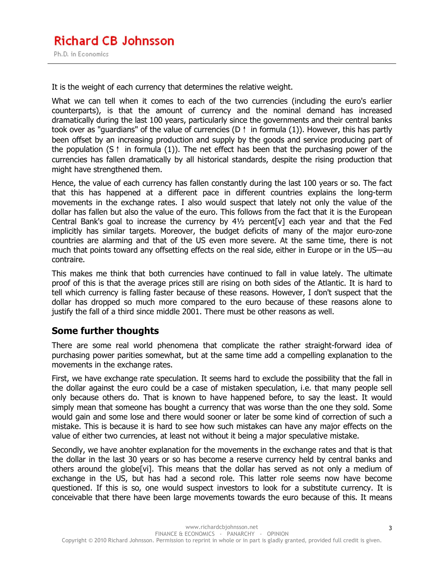It is the weight of each currency that determines the relative weight.

What we can tell when it comes to each of the two currencies (including the euro's earlier counterparts), is that the amount of currency and the nominal demand has increased dramatically during the last 100 years, particularly since the governments and their central banks took over as "guardians" of the value of currencies ( $D \uparrow$  in formula (1)). However, this has partly been offset by an increasing production and supply by the goods and service producing part of the population (S↑ in formula (1)). The net effect has been that the purchasing power of the currencies has fallen dramatically by all historical standards, despite the rising production that might have strengthened them.

Hence, the value of each currency has fallen constantly during the last 100 years or so. The fact that this has happened at a different pace in different countries explains the long-term movements in the exchange rates. I also would suspect that lately not only the value of the dollar has fallen but also the value of the euro. This follows from the fact that it is the European Central Bank's goal to increase the currency by 4½ percent[v] each year and that the Fed implicitly has similar targets. Moreover, the budget deficits of many of the major euro-zone countries are alarming and that of the US even more severe. At the same time, there is not much that points toward any offsetting effects on the real side, either in Europe or in the US—au contraire.

This makes me think that both currencies have continued to fall in value lately. The ultimate proof of this is that the average prices still are rising on both sides of the Atlantic. It is hard to tell which currency is falling faster because of these reasons. However, I don't suspect that the dollar has dropped so much more compared to the euro because of these reasons alone to justify the fall of a third since middle 2001. There must be other reasons as well.

#### **Some further thoughts**

There are some real world phenomena that complicate the rather straight-forward idea of purchasing power parities somewhat, but at the same time add a compelling explanation to the movements in the exchange rates.

First, we have exchange rate speculation. It seems hard to exclude the possibility that the fall in the dollar against the euro could be a case of mistaken speculation, i.e. that many people sell only because others do. That is known to have happened before, to say the least. It would simply mean that someone has bought a currency that was worse than the one they sold. Some would gain and some lose and there would sooner or later be some kind of correction of such a mistake. This is because it is hard to see how such mistakes can have any major effects on the value of either two currencies, at least not without it being a major speculative mistake.

Secondly, we have anohter explanation for the movements in the exchange rates and that is that the dollar in the last 30 years or so has become a reserve currency held by central banks and others around the globe[vi]. This means that the dollar has served as not only a medium of exchange in the US, but has had a second role. This latter role seems now have become questioned. If this is so, one would suspect investors to look for a substitute currency. It is conceivable that there have been large movements towards the euro because of this. It means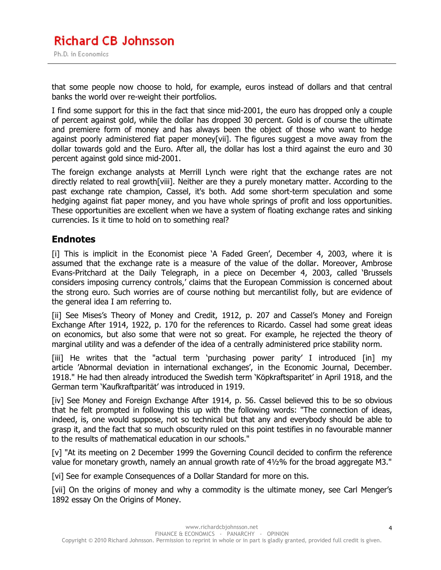that some people now choose to hold, for example, euros instead of dollars and that central banks the world over re-weight their portfolios.

I find some support for this in the fact that since mid-2001, the euro has dropped only a couple of percent against gold, while the dollar has dropped 30 percent. Gold is of course the ultimate and premiere form of money and has always been the object of those who want to hedge against poorly administered fiat paper money[vii]. The figures suggest a move away from the dollar towards gold and the Euro. After all, the dollar has lost a third against the euro and 30 percent against gold since mid-2001.

The foreign exchange analysts at Merrill Lynch were right that the exchange rates are not directly related to real growth[viii]. Neither are they a purely monetary matter. According to the past exchange rate champion, Cassel, it's both. Add some short-term speculation and some hedging against fiat paper money, and you have whole springs of profit and loss opportunities. These opportunities are excellent when we have a system of floating exchange rates and sinking currencies. Is it time to hold on to something real?

#### **Endnotes**

[i] This is implicit in the Economist piece 'A Faded Green', December 4, 2003, where it is assumed that the exchange rate is a measure of the value of the dollar. Moreover, Ambrose Evans-Pritchard at the Daily Telegraph, in a piece on December 4, 2003, called 'Brussels considers imposing currency controls,' claims that the European Commission is concerned about the strong euro. Such worries are of course nothing but mercantilist folly, but are evidence of the general idea I am referring to.

[ii] See Mises's Theory of Money and Credit, 1912, p. 207 and Cassel's Money and Foreign Exchange After 1914, 1922, p. 170 for the references to Ricardo. Cassel had some great ideas on economics, but also some that were not so great. For example, he rejected the theory of marginal utility and was a defender of the idea of a centrally administered price stability norm.

[iii] He writes that the "actual term `purchasing power parity' I introduced [in] my article 'Abnormal deviation in international exchanges', in the Economic Journal, December. 1918." He had then already introduced the Swedish term 'Köpkraftsparitet' in April 1918, and the German term 'Kaufkraftparität' was introduced in 1919.

[iv] See Money and Foreign Exchange After 1914, p. 56. Cassel believed this to be so obvious that he felt prompted in following this up with the following words: "The connection of ideas, indeed, is, one would suppose, not so technical but that any and everybody should be able to grasp it, and the fact that so much obscurity ruled on this point testifies in no favourable manner to the results of mathematical education in our schools."

[v] "At its meeting on 2 December 1999 the Governing Council decided to confirm the reference value for monetary growth, namely an annual growth rate of 4½% for the broad aggregate M3."

[vi] See for example Consequences of a Dollar Standard for more on this.

[vii] On the origins of money and why a commodity is the ultimate money, see Carl Menger's 1892 essay On the Origins of Money.